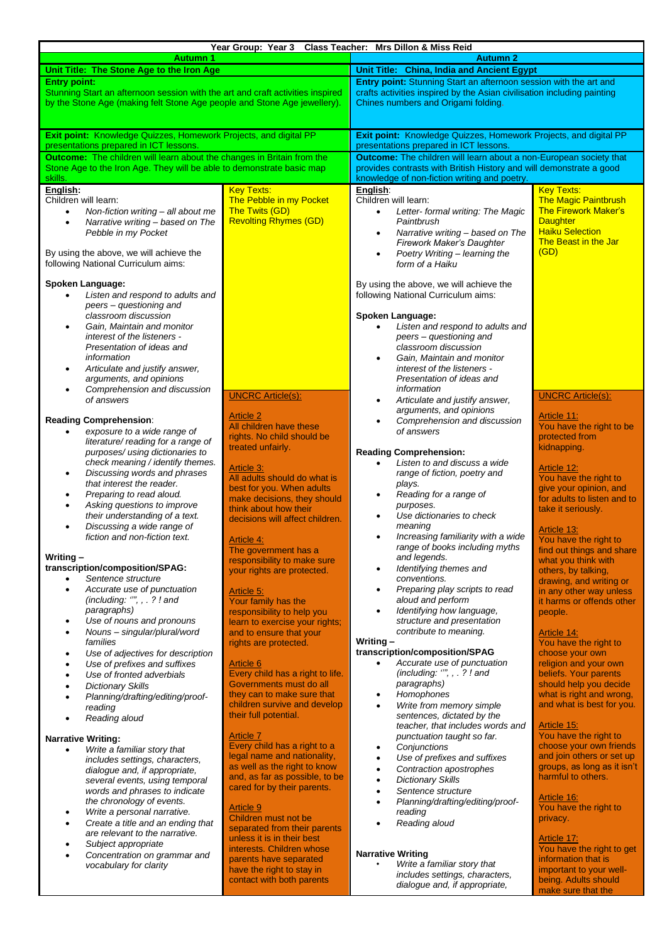|                                                                                  | Year Group: Year 3 Class Teacher: Mrs Dillon & Miss Reid      |                                                                                                            |                                                       |  |  |
|----------------------------------------------------------------------------------|---------------------------------------------------------------|------------------------------------------------------------------------------------------------------------|-------------------------------------------------------|--|--|
| <b>Autumn 1</b><br><b>Autumn 2</b>                                               |                                                               |                                                                                                            |                                                       |  |  |
| Unit Title: The Stone Age to the Iron Age                                        |                                                               | Unit Title: China, India and Ancient Egypt                                                                 |                                                       |  |  |
| <b>Entry point:</b>                                                              |                                                               | Entry point: Stunning Start an afternoon session with the art and                                          |                                                       |  |  |
| Stunning Start an afternoon session with the art and craft activities inspired   |                                                               | crafts activities inspired by the Asian civilisation including painting                                    |                                                       |  |  |
| by the Stone Age (making felt Stone Age people and Stone Age jewellery).         |                                                               | Chines numbers and Origami folding.                                                                        |                                                       |  |  |
|                                                                                  |                                                               |                                                                                                            |                                                       |  |  |
| Exit point: Knowledge Quizzes, Homework Projects, and digital PP                 |                                                               |                                                                                                            |                                                       |  |  |
| presentations prepared in ICT lessons.                                           |                                                               | Exit point: Knowledge Quizzes, Homework Projects, and digital PP<br>presentations prepared in ICT lessons. |                                                       |  |  |
| <b>Outcome:</b> The children will learn about the changes in Britain from the    |                                                               | Outcome: The children will learn about a non-European society that                                         |                                                       |  |  |
| Stone Age to the Iron Age. They will be able to demonstrate basic map            |                                                               | provides contrasts with British History and will demonstrate a good                                        |                                                       |  |  |
| skills.                                                                          |                                                               | knowledge of non-fiction writing and poetry.                                                               |                                                       |  |  |
| English:                                                                         | <b>Key Texts:</b>                                             | English:                                                                                                   | <b>Key Texts:</b>                                     |  |  |
| Children will learn:                                                             | The Pebble in my Pocket                                       | Children will learn:                                                                                       | <b>The Magic Paintbrush</b>                           |  |  |
| Non-fiction writing - all about me<br>$\bullet$                                  | The Twits (GD)                                                | Letter- formal writing: The Magic<br>$\bullet$                                                             | <b>The Firework Maker's</b>                           |  |  |
| Narrative writing - based on The<br>$\bullet$                                    | <b>Revolting Rhymes (GD)</b>                                  | Paintbrush                                                                                                 | <b>Daughter</b>                                       |  |  |
| Pebble in my Pocket                                                              |                                                               | Narrative writing - based on The<br>$\bullet$                                                              | <b>Haiku Selection</b><br><b>The Beast in the Jar</b> |  |  |
|                                                                                  |                                                               | Firework Maker's Daughter                                                                                  | (GD)                                                  |  |  |
| By using the above, we will achieve the<br>following National Curriculum aims:   |                                                               | Poetry Writing - learning the<br>$\bullet$<br>form of a Haiku                                              |                                                       |  |  |
|                                                                                  |                                                               |                                                                                                            |                                                       |  |  |
| Spoken Language:                                                                 |                                                               | By using the above, we will achieve the                                                                    |                                                       |  |  |
| Listen and respond to adults and                                                 |                                                               | following National Curriculum aims:                                                                        |                                                       |  |  |
| peers - questioning and                                                          |                                                               |                                                                                                            |                                                       |  |  |
| classroom discussion                                                             |                                                               | Spoken Language:                                                                                           |                                                       |  |  |
| Gain, Maintain and monitor<br>$\bullet$                                          |                                                               | Listen and respond to adults and                                                                           |                                                       |  |  |
| interest of the listeners -                                                      |                                                               | peers - questioning and                                                                                    |                                                       |  |  |
| Presentation of ideas and<br>information                                         |                                                               | classroom discussion<br>Gain, Maintain and monitor<br>$\bullet$                                            |                                                       |  |  |
| Articulate and justify answer,                                                   |                                                               | interest of the listeners -                                                                                |                                                       |  |  |
| arguments, and opinions                                                          |                                                               | Presentation of ideas and                                                                                  |                                                       |  |  |
| Comprehension and discussion                                                     |                                                               | information                                                                                                |                                                       |  |  |
| of answers                                                                       | <b>UNCRC Article(s):</b>                                      | Articulate and justify answer,<br>٠                                                                        | <b>UNCRC Article(s):</b>                              |  |  |
|                                                                                  |                                                               | arguments, and opinions                                                                                    |                                                       |  |  |
| <b>Reading Comprehension:</b>                                                    | <b>Article 2</b><br>All children have these                   | Comprehension and discussion<br>$\bullet$                                                                  | Article 11:<br>You have the right to be               |  |  |
| exposure to a wide range of                                                      | rights. No child should be                                    | of answers                                                                                                 | protected from                                        |  |  |
| literature/ reading for a range of                                               | treated unfairly.                                             |                                                                                                            | kidnapping                                            |  |  |
| purposes/ using dictionaries to                                                  |                                                               | <b>Reading Comprehension:</b>                                                                              |                                                       |  |  |
| check meaning / identify themes.                                                 | Article 3:                                                    | Listen to and discuss a wide<br>$\bullet$                                                                  | Article 12:                                           |  |  |
| Discussing words and phrases<br>$\bullet$<br>that interest the reader.           | All adults should do what is                                  | range of fiction, poetry and<br>plays.                                                                     | You have the right to                                 |  |  |
| Preparing to read aloud.                                                         | best for you. When adults                                     | Reading for a range of<br>$\bullet$                                                                        | give your opinion, and                                |  |  |
| Asking questions to improve                                                      | make decisions, they should                                   | purposes.                                                                                                  | for adults to listen and to                           |  |  |
| their understanding of a text.                                                   | think about how their                                         | Use dictionaries to check<br>$\bullet$                                                                     | take it seriously.                                    |  |  |
| Discussing a wide range of                                                       | decisions will affect children.                               | meaning                                                                                                    | <u>Article 13:</u>                                    |  |  |
| fiction and non-fiction text.                                                    | Article 4:                                                    | Increasing familiarity with a wide<br>$\bullet$                                                            | You have the right to                                 |  |  |
|                                                                                  | The government has a                                          | range of books including myths                                                                             | find out things and share                             |  |  |
| Writing $-$                                                                      | responsibility to make sure                                   | and legends.                                                                                               | what you think with                                   |  |  |
| transcription/composition/SPAG:                                                  | your rights are protected.                                    | Identifying themes and<br>$\bullet$                                                                        | others, by talking,                                   |  |  |
| Sentence structure                                                               |                                                               | conventions.                                                                                               | drawing, and writing or                               |  |  |
| Accurate use of punctuation<br>$\bullet$                                         | Article 5:                                                    | Preparing play scripts to read<br>$\bullet$<br>aloud and perform                                           | in any other way unless                               |  |  |
| (including: "", , . ? ! and<br>paragraphs)                                       | Your family has the                                           | Identifying how language,<br>$\bullet$                                                                     | it harms or offends other                             |  |  |
| Use of nouns and pronouns<br>$\bullet$                                           | responsibility to help you<br>learn to exercise your rights;  | structure and presentation                                                                                 | people.                                               |  |  |
| Nouns - singular/plural/word                                                     | and to ensure that your                                       | contribute to meaning.                                                                                     | Article 14:                                           |  |  |
| families                                                                         | rights are protected.                                         | Writing-                                                                                                   | You have the right to                                 |  |  |
| Use of adjectives for description<br>$\bullet$                                   |                                                               | transcription/composition/SPAG                                                                             | choose your own                                       |  |  |
| Use of prefixes and suffixes<br>$\bullet$                                        | <b>Article 6</b>                                              | Accurate use of punctuation<br>$\bullet$                                                                   | religion and your own                                 |  |  |
| Use of fronted adverbials<br>$\bullet$                                           | Every child has a right to life.                              | (including: "", , . ? ! and                                                                                | beliefs. Your parents                                 |  |  |
| <b>Dictionary Skills</b>                                                         | Governments must do all                                       | paragraphs)                                                                                                | should help you decide                                |  |  |
| Planning/drafting/editing/proof-                                                 | they can to make sure that<br>children survive and develop    | Homophones<br>$\bullet$<br>Write from memory simple<br>$\bullet$                                           | what is right and wrong,<br>and what is best for you. |  |  |
| reading                                                                          | their full potential.                                         | sentences, dictated by the                                                                                 |                                                       |  |  |
| Reading aloud                                                                    |                                                               | teacher, that includes words and                                                                           | Article 15:                                           |  |  |
| <b>Narrative Writing:</b>                                                        | <b>Article 7</b>                                              | punctuation taught so far.                                                                                 | You have the right to                                 |  |  |
| Write a familiar story that                                                      | Every child has a right to a                                  | Conjunctions<br>$\bullet$                                                                                  | choose your own friends                               |  |  |
| includes settings, characters,                                                   | legal name and nationality,                                   | Use of prefixes and suffixes<br>$\bullet$                                                                  | and join others or set up                             |  |  |
| dialogue and, if appropriate,                                                    | as well as the right to know                                  | Contraction apostrophes<br>$\bullet$                                                                       | groups, as long as it isn't                           |  |  |
| several events, using temporal                                                   | and, as far as possible, to be<br>cared for by their parents. | <b>Dictionary Skills</b><br>$\bullet$                                                                      | harmful to others.                                    |  |  |
| words and phrases to indicate                                                    |                                                               | Sentence structure<br>$\bullet$                                                                            | Article 16:                                           |  |  |
| the chronology of events.                                                        | <b>Article 9</b>                                              | Planning/drafting/editing/proof-                                                                           | You have the right to                                 |  |  |
| Write a personal narrative.<br>٠                                                 | Children must not be                                          | reading                                                                                                    | privacy.                                              |  |  |
| Create a title and an ending that<br>$\bullet$<br>are relevant to the narrative. | separated from their parents                                  | Reading aloud                                                                                              |                                                       |  |  |
| Subject appropriate                                                              | unless it is in their best                                    |                                                                                                            | Article 17:                                           |  |  |
| Concentration on grammar and                                                     | interests. Children whose                                     | <b>Narrative Writing</b>                                                                                   | You have the right to get                             |  |  |
| vocabulary for clarity                                                           | parents have separated                                        | Write a familiar story that                                                                                | information that is                                   |  |  |
|                                                                                  | have the right to stay in<br>contact with both parents        | includes settings, characters,                                                                             | important to your well-<br>being. Adults should       |  |  |
|                                                                                  |                                                               | dialogue and, if appropriate,                                                                              | make sure that the                                    |  |  |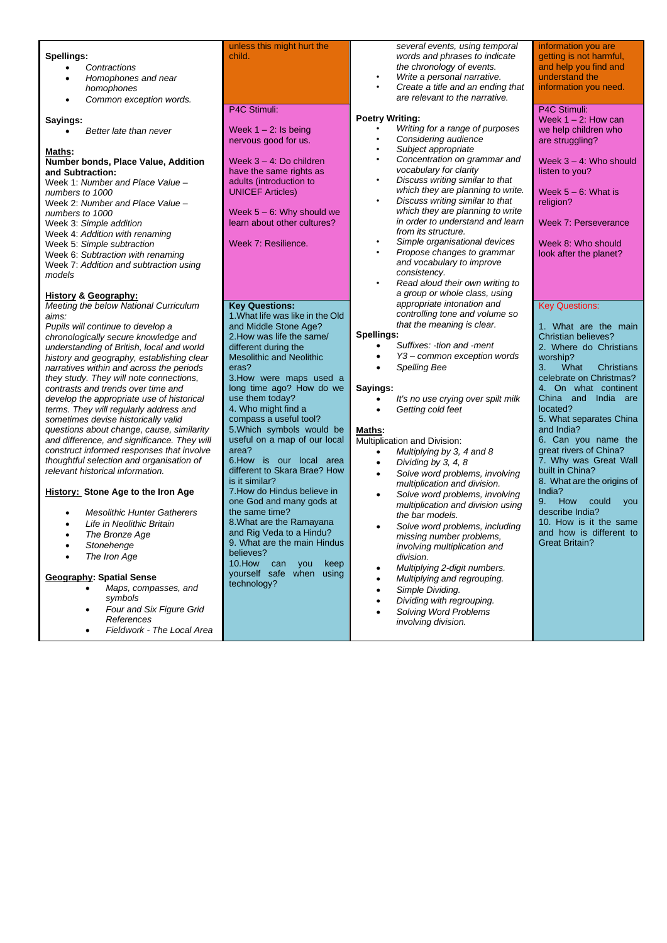|                                             | unless this might hurt the                                | several events, using temporal                              | information you are        |
|---------------------------------------------|-----------------------------------------------------------|-------------------------------------------------------------|----------------------------|
| Spellings:                                  | child.                                                    | words and phrases to indicate                               | getting is not harmful,    |
| Contractions                                |                                                           | the chronology of events.                                   | and help you find and      |
| Homophones and near<br>$\bullet$            |                                                           | Write a personal narrative.                                 | understand the             |
| homophones                                  |                                                           | Create a title and an ending that                           | information you need.      |
| Common exception words.<br>$\bullet$        |                                                           | are relevant to the narrative.                              |                            |
|                                             | P4C Stimuli:                                              |                                                             | P4C Stimuli:               |
| Sayings:                                    |                                                           | <b>Poetry Writing:</b>                                      | Week $1 - 2$ : How can     |
| Better late than never<br>$\bullet$         | Week $1 - 2$ : Is being                                   | Writing for a range of purposes                             | we help children who       |
|                                             | nervous good for us.                                      | Considering audience<br>$\bullet$                           | are struggling?            |
| Maths:                                      |                                                           | Subject appropriate                                         |                            |
| Number bonds, Place Value, Addition         | Week $3 - 4$ : Do children                                | Concentration on grammar and                                | Week $3 - 4$ : Who should  |
| and Subtraction:                            | have the same rights as                                   | vocabulary for clarity                                      | listen to you?             |
| Week 1: Number and Place Value -            | adults (introduction to                                   | Discuss writing similar to that<br>$\bullet$                |                            |
| numbers to 1000                             | <b>UNICEF Articles)</b>                                   | which they are planning to write.                           | Week $5 - 6$ : What is     |
| Week 2: Number and Place Value -            |                                                           | Discuss writing similar to that<br>٠                        | religion?                  |
| numbers to 1000                             | Week $5 - 6$ : Why should we                              | which they are planning to write                            |                            |
| Week 3: Simple addition                     | learn about other cultures?                               | in order to understand and learn                            | Week 7: Perseverance       |
| Week 4: Addition with renaming              |                                                           | from its structure.                                         |                            |
| Week 5: Simple subtraction                  | Week 7: Resilience.                                       | Simple organisational devices<br>Propose changes to grammar | Week 8: Who should         |
| Week 6: Subtraction with renaming           |                                                           | and vocabulary to improve                                   | look after the planet?     |
| Week 7: Addition and subtraction using      |                                                           | consistency.                                                |                            |
| models                                      |                                                           | Read aloud their own writing to                             |                            |
|                                             |                                                           | a group or whole class, using                               |                            |
| <b>History &amp; Geography:</b>             |                                                           | appropriate intonation and                                  |                            |
| Meeting the below National Curriculum       | <b>Key Questions:</b><br>1. What life was like in the Old | controlling tone and volume so                              | <b>Key Questions:</b>      |
| aims:<br>Pupils will continue to develop a  | and Middle Stone Age?                                     | that the meaning is clear.                                  | 1. What are the main       |
| chronologically secure knowledge and        | 2. How was life the same/                                 | Spellings:                                                  | Christian believes?        |
| understanding of British, local and world   | different during the                                      | Suffixes: -tion and -ment                                   | 2. Where do Christians     |
| history and geography, establishing clear   | <b>Mesolithic and Neolithic</b>                           | Y3 - common exception words                                 | worship?                   |
| narratives within and across the periods    | eras?                                                     | <b>Spelling Bee</b><br>$\bullet$                            | What<br>3.<br>Christians   |
| they study. They will note connections,     | 3. How were maps used a                                   |                                                             | celebrate on Christmas?    |
| contrasts and trends over time and          | long time ago? How do we                                  | Sayings:                                                    | 4. On what continent       |
| develop the appropriate use of historical   | use them today?                                           | It's no use crying over spilt milk                          | China and India are        |
| terms. They will regularly address and      | 4. Who might find a                                       | Getting cold feet<br>$\bullet$                              | located?                   |
| sometimes devise historically valid         | compass a useful tool?                                    |                                                             | 5. What separates China    |
| questions about change, cause, similarity   | 5. Which symbols would be                                 | Maths:                                                      | and India?                 |
| and difference, and significance. They will | useful on a map of our local                              | Multiplication and Division:                                | 6. Can you name the        |
| construct informed responses that involve   | area?                                                     | Multiplying by 3, 4 and 8                                   | great rivers of China?     |
| thoughtful selection and organisation of    | 6. How is our local area                                  | Dividing by 3, 4, 8<br>$\bullet$                            | 7. Why was Great Wall      |
| relevant historical information.            | different to Skara Brae? How                              | Solve word problems, involving<br>$\bullet$                 | built in China?            |
|                                             | is it similar?                                            | multiplication and division.                                | 8. What are the origins of |
| <b>History: Stone Age to the Iron Age</b>   | 7. How do Hindus believe in                               | Solve word problems, involving<br>$\bullet$                 | India?                     |
|                                             | one God and many gods at                                  | multiplication and division using                           | 9.<br>How<br>could<br>you  |
| <b>Mesolithic Hunter Gatherers</b>          | the same time?                                            | the bar models.                                             | describe India?            |
| Life in Neolithic Britain                   | 8. What are the Ramayana                                  | Solve word problems, including<br>٠                         | 10. How is it the same     |
| The Bronze Age<br>$\bullet$                 | and Rig Veda to a Hindu?                                  | missing number problems,                                    | and how is different to    |
| Stonehenge                                  | 9. What are the main Hindus                               | involving multiplication and                                | <b>Great Britain?</b>      |
| The Iron Age                                | believes?                                                 | division.                                                   |                            |
|                                             | 10. How can you keep                                      | Multiplying 2-digit numbers.                                |                            |
| <b>Geography: Spatial Sense</b>             | yourself safe when using                                  | Multiplying and regrouping.                                 |                            |
| Maps, compasses, and                        | technology?                                               | Simple Dividing.<br>$\bullet$                               |                            |
| symbols                                     |                                                           | Dividing with regrouping.                                   |                            |
| Four and Six Figure Grid<br>$\bullet$       |                                                           | Solving Word Problems                                       |                            |
| References                                  |                                                           | involving division.                                         |                            |
|                                             |                                                           |                                                             |                            |
| Fieldwork - The Local Area                  |                                                           |                                                             |                            |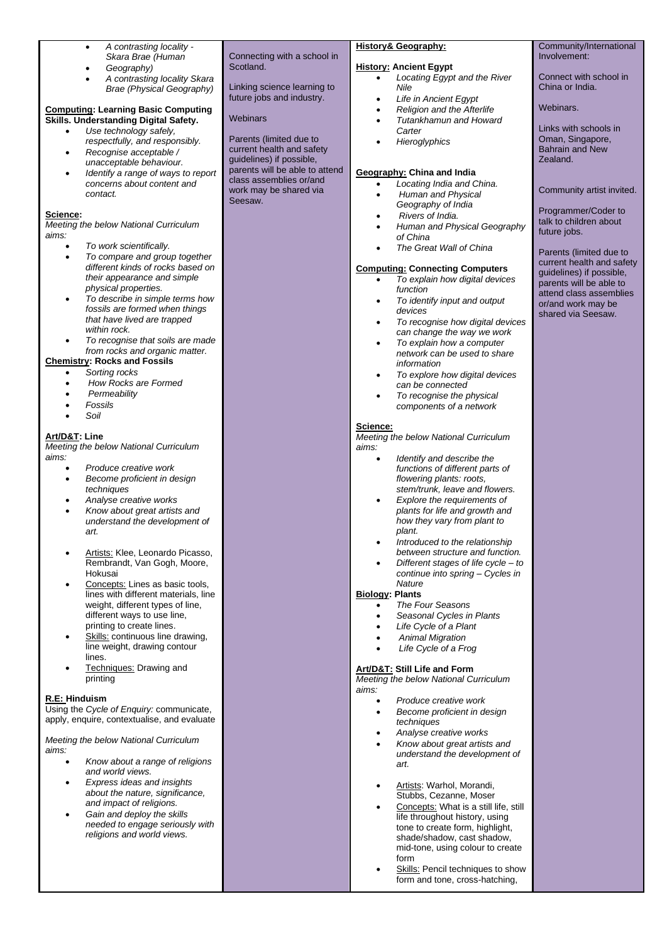| A contrasting locality -<br>$\bullet$                                                                                                                                                                                                                                                                                                                                                                                                                                                                                                                                                                                                                                                                                                                                                                                                                                                                                                                                                                                                                                             |                                                                                                                                                                                                                                                                                                               | <b>History&amp; Geography:</b>                                                                                                                                                                                                                                                                                                                                                                                                                                                                                                                                                                                                                                                                                                                                                                                                                                                                                                                                                                                                                                                                                           | Community/International                                                                                                                                                                                                                                                                                                                                                                                                                       |
|-----------------------------------------------------------------------------------------------------------------------------------------------------------------------------------------------------------------------------------------------------------------------------------------------------------------------------------------------------------------------------------------------------------------------------------------------------------------------------------------------------------------------------------------------------------------------------------------------------------------------------------------------------------------------------------------------------------------------------------------------------------------------------------------------------------------------------------------------------------------------------------------------------------------------------------------------------------------------------------------------------------------------------------------------------------------------------------|---------------------------------------------------------------------------------------------------------------------------------------------------------------------------------------------------------------------------------------------------------------------------------------------------------------|--------------------------------------------------------------------------------------------------------------------------------------------------------------------------------------------------------------------------------------------------------------------------------------------------------------------------------------------------------------------------------------------------------------------------------------------------------------------------------------------------------------------------------------------------------------------------------------------------------------------------------------------------------------------------------------------------------------------------------------------------------------------------------------------------------------------------------------------------------------------------------------------------------------------------------------------------------------------------------------------------------------------------------------------------------------------------------------------------------------------------|-----------------------------------------------------------------------------------------------------------------------------------------------------------------------------------------------------------------------------------------------------------------------------------------------------------------------------------------------------------------------------------------------------------------------------------------------|
| Skara Brae (Human<br>Geography)<br>$\bullet$<br>A contrasting locality Skara<br>$\bullet$<br>Brae (Physical Geography)<br><b>Computing: Learning Basic Computing</b><br>Skills. Understanding Digital Safety.<br>Use technology safely,<br>$\bullet$<br>respectfully, and responsibly.<br>Recognise acceptable /<br>unacceptable behaviour.<br>Identify a range of ways to report<br>concerns about content and<br>contact.<br>Science:<br>Meeting the below National Curriculum<br>aims:<br>To work scientifically.<br>To compare and group together<br>٠<br>different kinds of rocks based on<br>their appearance and simple<br>physical properties.<br>To describe in simple terms how<br>$\bullet$<br>fossils are formed when things<br>that have lived are trapped<br>within rock.<br>To recognise that soils are made<br>from rocks and organic matter.<br><b>Chemistry: Rocks and Fossils</b><br>Sorting rocks<br>How Rocks are Formed<br>Permeability<br>Fossils<br>Soil<br>Art/D&T: Line<br>Meeting the below National Curriculum<br>aims:<br>Produce creative work<br>٠ | Connecting with a school in<br>Scotland.<br>Linking science learning to<br>future jobs and industry.<br><b>Webinars</b><br>Parents (limited due to<br>current health and safety<br>guidelines) if possible,<br>parents will be able to attend<br>class assemblies or/and<br>work may be shared via<br>Seesaw. | <b>History: Ancient Egypt</b><br>Locating Egypt and the River<br>$\bullet$<br>Nile<br>Life in Ancient Egypt<br>$\bullet$<br>Religion and the Afterlife<br>$\bullet$<br>Tutankhamun and Howard<br>$\bullet$<br>Carter<br>Hieroglyphics<br>$\bullet$<br>Geography: China and India<br>Locating India and China.<br>$\bullet$<br>Human and Physical<br>$\bullet$<br>Geography of India<br>Rivers of India.<br>٠<br>Human and Physical Geography<br>$\bullet$<br>of China<br>The Great Wall of China<br><b>Computing: Connecting Computers</b><br>To explain how digital devices<br>$\bullet$<br>function<br>To identify input and output<br>$\bullet$<br>devices<br>To recognise how digital devices<br>$\bullet$<br>can change the way we work<br>To explain how a computer<br>$\bullet$<br>network can be used to share<br>information<br>To explore how digital devices<br>$\bullet$<br>can be connected<br>To recognise the physical<br>$\bullet$<br>components of a network<br>Science:<br>Meeting the below National Curriculum<br>aims:<br>Identify and describe the<br>$\bullet$<br>functions of different parts of | Involvement:<br>Connect with school in<br>China or India.<br>Webinars.<br>Links with schools in<br>Oman, Singapore,<br><b>Bahrain and New</b><br>Zealand.<br>Community artist invited.<br>Programmer/Coder to<br>talk to children about<br>future jobs.<br>Parents (limited due to<br>current health and safety<br>guidelines) if possible,<br>parents will be able to<br>attend class assemblies<br>or/and work may be<br>shared via Seesaw. |
| understand the development of<br>art.<br>Artists: Klee, Leonardo Picasso,<br>Rembrandt, Van Gogh, Moore,<br>Hokusai<br>Concepts: Lines as basic tools,<br>lines with different materials, line<br>weight, different types of line,<br>different ways to use line.<br>printing to create lines.<br>Skills: continuous line drawing,<br>line weight, drawing contour<br>lines.<br>Techniques: Drawing and                                                                                                                                                                                                                                                                                                                                                                                                                                                                                                                                                                                                                                                                           |                                                                                                                                                                                                                                                                                                               | how they vary from plant to<br>plant.<br>Introduced to the relationship<br>٠<br>between structure and function.<br>Different stages of life cycle $-$ to<br>$\bullet$<br>continue into spring - Cycles in<br><b>Nature</b><br><b>Biology: Plants</b><br>The Four Seasons<br>$\bullet$<br>Seasonal Cycles in Plants<br>٠<br>Life Cycle of a Plant<br><b>Animal Migration</b><br>Life Cycle of a Frog<br>Art/D&T: Still Life and Form                                                                                                                                                                                                                                                                                                                                                                                                                                                                                                                                                                                                                                                                                      |                                                                                                                                                                                                                                                                                                                                                                                                                                               |
| printing<br>R.E: Hinduism<br>Using the Cycle of Enquiry: communicate,<br>apply, enquire, contextualise, and evaluate<br>Meeting the below National Curriculum<br>aims:<br>Know about a range of religions<br>$\bullet$<br>and world views.<br>Express ideas and insights<br>about the nature, significance,<br>and impact of religions.<br>Gain and deploy the skills<br>٠<br>needed to engage seriously with<br>religions and world views.                                                                                                                                                                                                                                                                                                                                                                                                                                                                                                                                                                                                                                       |                                                                                                                                                                                                                                                                                                               | Meeting the below National Curriculum<br>aims:<br>Produce creative work<br>$\bullet$<br>Become proficient in design<br>٠<br>techniques<br>Analyse creative works<br>٠<br>Know about great artists and<br>$\bullet$<br>understand the development of<br>art.<br>Artists: Warhol, Morandi,<br>٠<br>Stubbs, Cezanne, Moser<br>Concepts: What is a still life, still<br>$\bullet$<br>life throughout history, using<br>tone to create form, highlight,<br>shade/shadow, cast shadow,<br>mid-tone, using colour to create<br>form<br>Skills: Pencil techniques to show<br>$\bullet$<br>form and tone, cross-hatching,                                                                                                                                                                                                                                                                                                                                                                                                                                                                                                         |                                                                                                                                                                                                                                                                                                                                                                                                                                               |